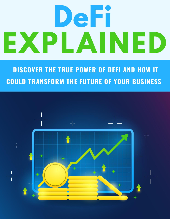## DeFi EXPLAINED

**DISCOVER THE TRUE POWER OF DEFI AND HOW IT COULD TRANSFORM THE FUTURE OF YOUR BUSINESS** 

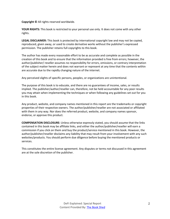**Copyright ©** All rights reserved worldwide.

**YOUR RIGHTS:** This book is restricted to your personal use only. It does not come with any other rights.

**LEGAL DISCLAIMER:** This book is protected by international copyright law and may not be copied, reproduced, given away, or used to create derivative works without the publisher's expressed permission. The publisher retains full copyrights to this book.

The author has made every reasonable effort to be as accurate and complete as possible in the creation of this book and to ensure that the information provided is free from errors; however, the author/publisher/ reseller assumes no responsibility for errors, omissions, or contrary interpretation of the subject matter herein and does not warrant or represent at any time that the contents within are accurate due to the rapidly changing nature of the internet.

Any perceived slights of specific persons, peoples, or organizations are unintentional.

The purpose of this book is to educate, and there are no guarantees of income, sales, or results implied. The publisher/author/reseller can, therefore, not be held accountable for any poor results you may attain when implementing the techniques or when following any guidelines set out for you in this book.

Any product, website, and company names mentioned in this report are the trademarks or copyright properties of their respective owners. The author/publisher/reseller are not associated or affiliated with them in any way. Nor does the referred product, website, and company names sponsor, endorse, or approve this product.

**COMPENSATION DISCLOSURE:** Unless otherwise expressly stated, you should assume that the links contained in this book may be affiliate links, and either the author/publisher/reseller will earn a commission if you click on them and buy the product/service mentioned in this book. However, the author/publisher/reseller disclaims any liability that may result from your involvement with any such websites/products. You should perform due diligence before buying the mentioned products or services.

This constitutes the entire license agreement. Any disputes or terms not discussed in this agreement are at the sole discretion of the publisher.